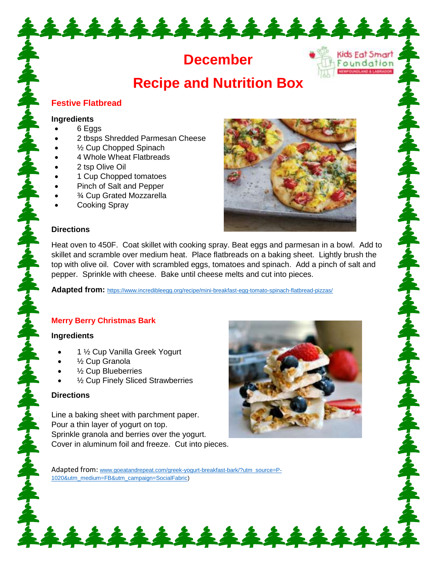# **December**

\*\*\*\*\*\*\*\*\*\*\*\*\*\*\*

# **Recipe and Nutrition Box**

## **Festive Flatbread**

#### **Ingredients**

- 6 Eggs
- 2 tbsps Shredded Parmesan Cheese
- ½ Cup Chopped Spinach
- 4 Whole Wheat Flatbreads
- 2 tsp Olive Oil
- 1 Cup Chopped tomatoes
- Pinch of Salt and Pepper
- ¾ Cup Grated Mozzarella
- Cooking Spray



Kids Eat Smart Foundation UNDCAND & LABRADOR

ふずらふずらふずらふず

#### **Directions**

Heat oven to 450F. Coat skillet with cooking spray. Beat eggs and parmesan in a bowl. Add to skillet and scramble over medium heat. Place flatbreads on a baking sheet. Lightly brush the top with olive oil. Cover with scrambled eggs, tomatoes and spinach. Add a pinch of salt and pepper. Sprinkle with cheese. Bake until cheese melts and cut into pieces.

**Adapted from:** <https://www.incredibleegg.org/recipe/mini-breakfast-egg-tomato-spinach-flatbread-pizzas/>

### **Merry Berry Christmas Bark**

#### **Ingredients**

- 1 ½ Cup Vanilla Greek Yogurt
- ½ Cup Granola
- ½ Cup Blueberries
- ½ Cup Finely Sliced Strawberries

#### **Directions**

Line a baking sheet with parchment paper. Pour a thin layer of yogurt on top. Sprinkle granola and berries over the yogurt. Cover in aluminum foil and freeze. Cut into pieces.



Adapted from: [www.goeatandrepeat.com/greek-yogurt-breakfast-bark/?utm\\_source=P-](http://www.goeatandrepeat.com/greek-yogurt-breakfast-bark/?utm_source=P-1020&utm_medium=FB&utm_campaign=SocialFabric)[1020&utm\\_medium=FB&utm\\_campaign=SocialFabric\)](http://www.goeatandrepeat.com/greek-yogurt-breakfast-bark/?utm_source=P-1020&utm_medium=FB&utm_campaign=SocialFabric)

\*\*\*\*\*\*\*\*\*\*\*\*\*\*